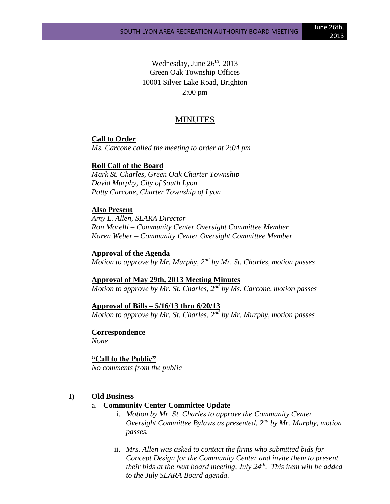Wednesday, June 26<sup>th</sup>, 2013 Green Oak Township Offices 10001 Silver Lake Road, Brighton 2:00 pm

# MINUTES

#### **Call to Order**

*Ms. Carcone called the meeting to order at 2:04 pm*

### **Roll Call of the Board**

*Mark St. Charles, Green Oak Charter Township David Murphy, City of South Lyon Patty Carcone, Charter Township of Lyon* 

#### **Also Present**

*Amy L. Allen, SLARA Director Ron Morelli – Community Center Oversight Committee Member Karen Weber – Community Center Oversight Committee Member*

### **Approval of the Agenda**

*Motion to approve by Mr. Murphy, 2nd by Mr. St. Charles, motion passes*

# **Approval of May 29th, 2013 Meeting Minutes**

*Motion to approve by Mr. St. Charles, 2nd by Ms. Carcone, motion passes*

# **Approval of Bills – 5/16/13 thru 6/20/13**

*Motion to approve by Mr. St. Charles, 2nd by Mr. Murphy, motion passes*

#### **Correspondence**

*None*

#### **"Call to the Public"**

*No comments from the public*

#### **I) Old Business**

## a. **Community Center Committee Update**

- i. *Motion by Mr. St. Charles to approve the Community Center Oversight Committee Bylaws as presented, 2nd by Mr. Murphy, motion passes.*
- ii. *Mrs. Allen was asked to contact the firms who submitted bids for Concept Design for the Community Center and invite them to present their bids at the next board meeting, July 24th. This item will be added to the July SLARA Board agenda.*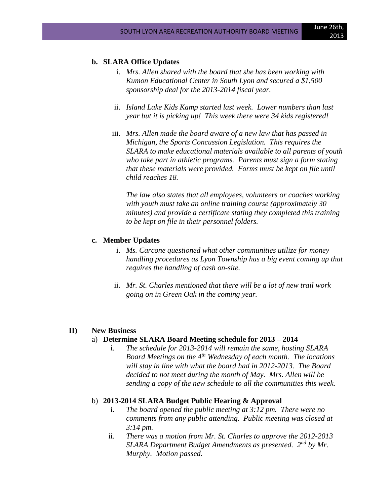# **b. SLARA Office Updates**

- i. *Mrs. Allen shared with the board that she has been working with Kumon Educational Center in South Lyon and secured a \$1,500 sponsorship deal for the 2013-2014 fiscal year.*
- ii. *Island Lake Kids Kamp started last week. Lower numbers than last year but it is picking up! This week there were 34 kids registered!*
- iii. *Mrs. Allen made the board aware of a new law that has passed in Michigan, the Sports Concussion Legislation. This requires the SLARA to make educational materials available to all parents of youth who take part in athletic programs. Parents must sign a form stating that these materials were provided. Forms must be kept on file until child reaches 18.*

*The law also states that all employees, volunteers or coaches working with youth must take an online training course (approximately 30 minutes) and provide a certificate stating they completed this training to be kept on file in their personnel folders.*

#### **c. Member Updates**

- i. *Ms. Carcone questioned what other communities utilize for money handling procedures as Lyon Township has a big event coming up that requires the handling of cash on-site.*
- ii. *Mr. St. Charles mentioned that there will be a lot of new trail work going on in Green Oak in the coming year.*

#### **II) New Business**

# a) **Determine SLARA Board Meeting schedule for 2013 – 2014**

i. *The schedule for 2013-2014 will remain the same, hosting SLARA Board Meetings on the 4th Wednesday of each month. The locations will stay in line with what the board had in 2012-2013. The Board decided to not meet during the month of May. Mrs. Allen will be sending a copy of the new schedule to all the communities this week.*

# b) **2013-2014 SLARA Budget Public Hearing & Approval**

- i. *The board opened the public meeting at 3:12 pm. There were no comments from any public attending. Public meeting was closed at 3:14 pm.*
- ii. *There was a motion from Mr. St. Charles to approve the 2012-2013 SLARA Department Budget Amendments as presented. 2nd by Mr. Murphy. Motion passed.*